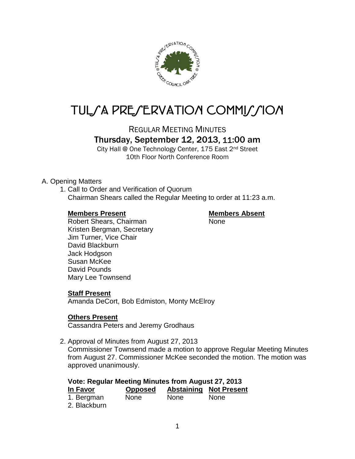

# TUL/A PRE/ERVATION COMMI*J*/ION

REGULAR MEETING MINUTES

# Thursday, September 12, 2013, 11:00 am

City Hall @ One Technology Center, 175 East 2nd Street 10th Floor North Conference Room

## A. Opening Matters

1. Call to Order and Verification of Quorum Chairman Shears called the Regular Meeting to order at 11:23 a.m.

### **Members Present Members Absent**

Robert Shears, Chairman None Kristen Bergman, Secretary Jim Turner, Vice Chair David Blackburn Jack Hodgson Susan McKee David Pounds Mary Lee Townsend

# **Staff Present**

Amanda DeCort, Bob Edmiston, Monty McElroy

# **Others Present**

Cassandra Peters and Jeremy Grodhaus

2. Approval of Minutes from August 27, 2013

Commissioner Townsend made a motion to approve Regular Meeting Minutes from August 27. Commissioner McKee seconded the motion. The motion was approved unanimously.

| <b>Vote: Regular Meeting Minutes from August 27, 2013</b> |                |      |                               |  |  |
|-----------------------------------------------------------|----------------|------|-------------------------------|--|--|
| In Favor                                                  | <b>Opposed</b> |      | <b>Abstaining Not Present</b> |  |  |
| 1. Bergman                                                | <b>None</b>    | None | <b>None</b>                   |  |  |
| 2. Blackburn                                              |                |      |                               |  |  |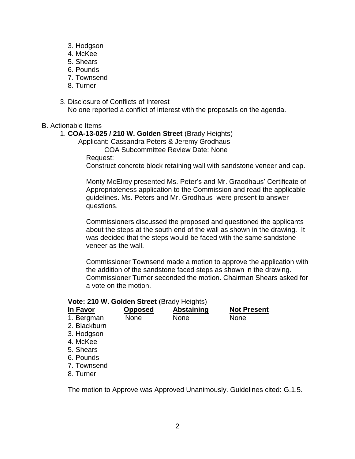- 3. Hodgson
- 4. McKee
- 5. Shears
- 6. Pounds
- 7. Townsend
- 8. Turner
- 3. Disclosure of Conflicts of Interest No one reported a conflict of interest with the proposals on the agenda.

#### B. Actionable Items

#### 1. **COA-13-025 / 210 W. Golden Street** (Brady Heights)

Applicant: Cassandra Peters & Jeremy Grodhaus

COA Subcommittee Review Date: None

Request:

Construct concrete block retaining wall with sandstone veneer and cap.

Monty McElroy presented Ms. Peter's and Mr. Graodhaus' Certificate of Appropriateness application to the Commission and read the applicable guidelines. Ms. Peters and Mr. Grodhaus were present to answer questions.

Commissioners discussed the proposed and questioned the applicants about the steps at the south end of the wall as shown in the drawing. It was decided that the steps would be faced with the same sandstone veneer as the wall.

Commissioner Townsend made a motion to approve the application with the addition of the sandstone faced steps as shown in the drawing. Commissioner Turner seconded the motion. Chairman Shears asked for a vote on the motion.

#### **Vote: 210 W. Golden Street** (Brady Heights)

| In Favor     | <b>Opposed</b> | <b>Abstaining</b> | <b>Not Present</b> |  |
|--------------|----------------|-------------------|--------------------|--|
| 1. Bergman   | <b>None</b>    | None              | <b>None</b>        |  |
| 2. Blackburn |                |                   |                    |  |
| 3. Hodgson   |                |                   |                    |  |
| 4. McKee     |                |                   |                    |  |
| 5. Shears    |                |                   |                    |  |
| 6. Pounds    |                |                   |                    |  |
| 7. Townsend  |                |                   |                    |  |
| 8. Turner    |                |                   |                    |  |

The motion to Approve was Approved Unanimously. Guidelines cited: G.1.5.